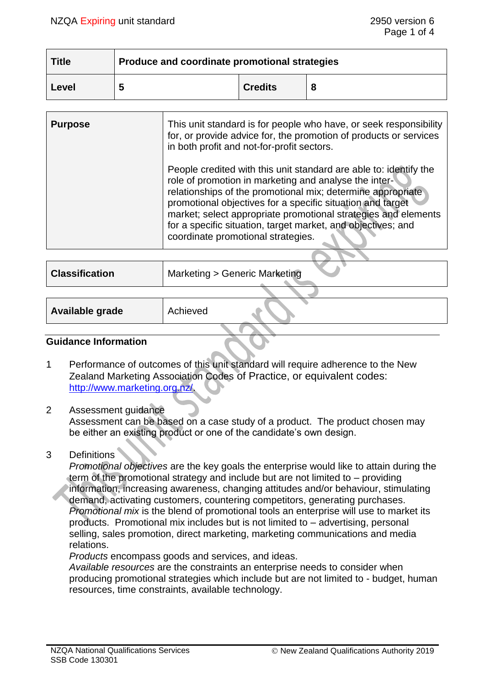| Title | Produce and coordinate promotional strategies |                |   |  |
|-------|-----------------------------------------------|----------------|---|--|
| Level | ∽                                             | <b>Credits</b> | 8 |  |

| <b>Purpose</b> | This unit standard is for people who have, or seek responsibility<br>for, or provide advice for, the promotion of products or services<br>in both profit and not-for-profit sectors.                                                                                                                                                                                                                                            |
|----------------|---------------------------------------------------------------------------------------------------------------------------------------------------------------------------------------------------------------------------------------------------------------------------------------------------------------------------------------------------------------------------------------------------------------------------------|
|                | People credited with this unit standard are able to: identify the<br>role of promotion in marketing and analyse the inter-<br>relationships of the promotional mix; determine appropriate<br>promotional objectives for a specific situation and target<br>market; select appropriate promotional strategies and elements<br>for a specific situation, target market, and objectives; and<br>coordinate promotional strategies. |
|                |                                                                                                                                                                                                                                                                                                                                                                                                                                 |

| <b>Classification</b> | Marketing > Generic Marketing |
|-----------------------|-------------------------------|
|                       |                               |

| Available grade | Achieved |  |
|-----------------|----------|--|
|                 |          |  |

#### **Guidance Information**

- 1 Performance of outcomes of this unit standard will require adherence to the New Zealand Marketing Association Codes of Practice, or equivalent codes: [http://www.marketing.org.nz/.](http://www.marketing.org.nz/)
- 2 Assessment guidance

Assessment can be based on a case study of a product. The product chosen may be either an existing product or one of the candidate's own design.

3 Definitions

*Promotional objectives* are the key goals the enterprise would like to attain during the term of the promotional strategy and include but are not limited to – providing information, increasing awareness, changing attitudes and/or behaviour, stimulating demand, activating customers, countering competitors, generating purchases. *Promotional mix* is the blend of promotional tools an enterprise will use to market its products. Promotional mix includes but is not limited to – advertising, personal selling, sales promotion, direct marketing, marketing communications and media relations.

*Products* encompass goods and services, and ideas.

*Available resources* are the constraints an enterprise needs to consider when producing promotional strategies which include but are not limited to - budget, human resources, time constraints, available technology.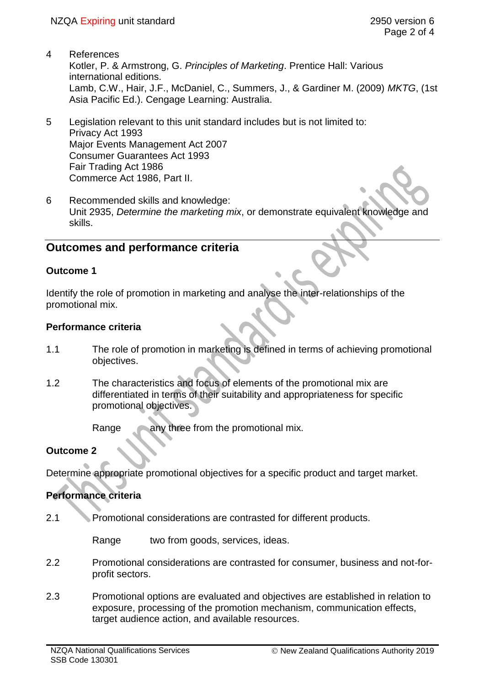- 4 References Kotler, P. & Armstrong, G. *Principles of Marketing*. Prentice Hall: Various international editions. Lamb, C.W., Hair, J.F., McDaniel, C., Summers, J., & Gardiner M. (2009) *MKTG*, (1st Asia Pacific Ed.). Cengage Learning: Australia.
- 5 Legislation relevant to this unit standard includes but is not limited to: Privacy Act 1993 Major Events Management Act 2007 Consumer Guarantees Act 1993 Fair Trading Act 1986 Commerce Act 1986, Part II.
- 6 Recommended skills and knowledge: Unit 2935, *Determine the marketing mix*, or demonstrate equivalent knowledge and skills.

# **Outcomes and performance criteria**

# **Outcome 1**

Identify the role of promotion in marketing and analyse the inter-relationships of the promotional mix.

# **Performance criteria**

- 1.1 The role of promotion in marketing is defined in terms of achieving promotional objectives.
- 1.2 The characteristics and focus of elements of the promotional mix are differentiated in terms of their suitability and appropriateness for specific promotional objectives.

Range any three from the promotional mix.

# **Outcome 2**

Determine appropriate promotional objectives for a specific product and target market.

### **Performance criteria**

2.1 Promotional considerations are contrasted for different products.

Range two from goods, services, ideas.

- 2.2 Promotional considerations are contrasted for consumer, business and not-forprofit sectors.
- 2.3 Promotional options are evaluated and objectives are established in relation to exposure, processing of the promotion mechanism, communication effects, target audience action, and available resources.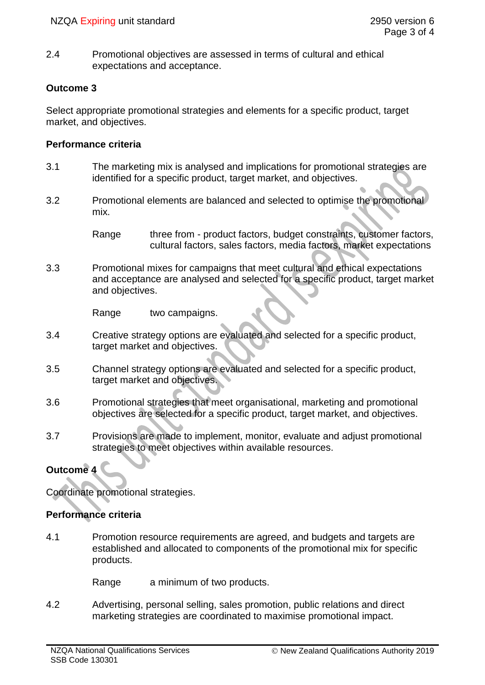2.4 Promotional objectives are assessed in terms of cultural and ethical expectations and acceptance.

## **Outcome 3**

Select appropriate promotional strategies and elements for a specific product, target market, and objectives.

#### **Performance criteria**

- 3.1 The marketing mix is analysed and implications for promotional strategies are identified for a specific product, target market, and objectives.
- 3.2 Promotional elements are balanced and selected to optimise the promotional mix.

Range three from - product factors, budget constraints, customer factors, cultural factors, sales factors, media factors, market expectations

3.3 Promotional mixes for campaigns that meet cultural and ethical expectations and acceptance are analysed and selected for a specific product, target market and objectives.

Range two campaigns.

- 3.4 Creative strategy options are evaluated and selected for a specific product, target market and objectives.
- 3.5 Channel strategy options are evaluated and selected for a specific product, target market and objectives.
- 3.6 Promotional strategies that meet organisational, marketing and promotional objectives are selected for a specific product, target market, and objectives.
- 3.7 Provisions are made to implement, monitor, evaluate and adjust promotional strategies to meet objectives within available resources.

# **Outcome 4**

Coordinate promotional strategies.

### **Performance criteria**

4.1 Promotion resource requirements are agreed, and budgets and targets are established and allocated to components of the promotional mix for specific products.

Range a minimum of two products.

4.2 Advertising, personal selling, sales promotion, public relations and direct marketing strategies are coordinated to maximise promotional impact.